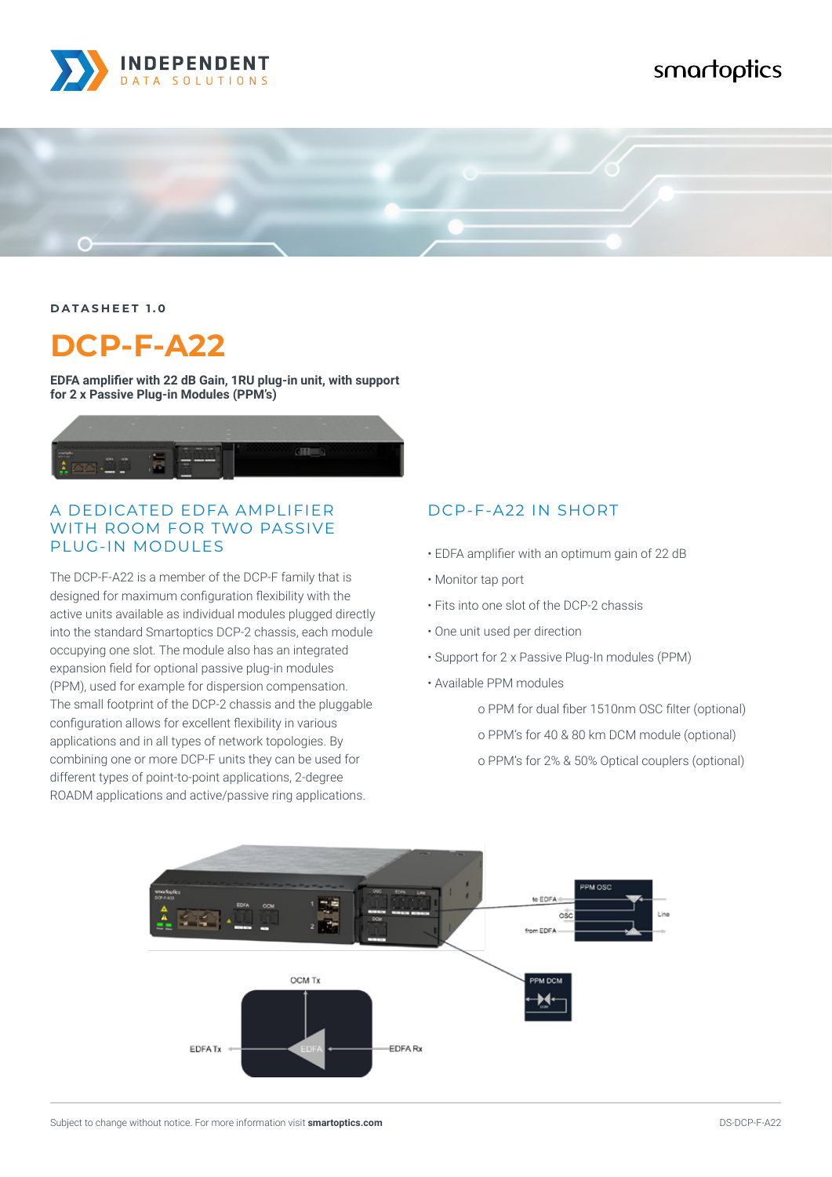

# smartoptics



**DATASHEET 1.0**

# **DCP-F-A22**

**EDFA amplifier with 22 dB Gain, 1RU plug-in unit, with support for 2 x Passive Plug-in Modules (PPM's)**



#### A DEDICATED EDFA AMPLIFIER WITH ROOM FOR TWO PASSIVE PLUG-IN MODULES

The DCP-F-A22 is a member of the DCP-F family that is designed for maximum configuration flexibility with the active units available as individual modules plugged directly into the standard Smartoptics DCP-2 chassis, each module occupying one slot. The module also has an integrated expansion field for optional passive plug-in modules (PPM), used for example for dispersion compensation. The small footprint of the DCP-2 chassis and the pluggable configuration allows for excellent flexibility in various applications and in all types of network topologies. By combining one or more DCP-F units they can be used for different types of point-to-point applications, 2-degree ROADM applications and active/passive ring applications.

#### DCP-F-A22 IN SHORT

- EDFA amplifier with an optimum gain of 22 dB
- Monitor tap port
- Fits into one slot of the DCP-2 chassis
- One unit used per direction
- Support for 2 x Passive Plug-In modules (PPM)
- Available PPM modules
	- o PPM for dual fiber 1510nm OSC filter (optional)
	- o PPM's for 40 & 80 km DCM module (optional)
	- o PPM's for 2% & 50% Optical couplers (optional)